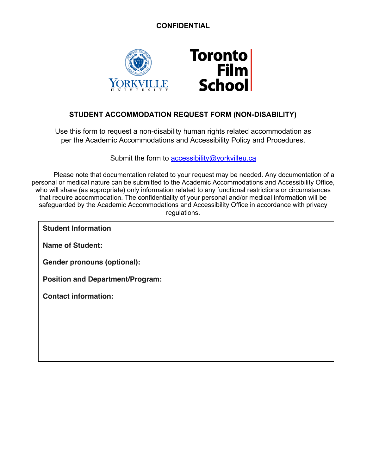# **CONFIDENTIAL**



# **STUDENT ACCOMMODATION REQUEST FORM (NON-DISABILITY)**

Use this form to request a non-disability human rights related accommodation as per the Academic Accommodations and Accessibility Policy and Procedures.

Submit the form to accessibility@yorkvilleu.ca

Please note that documentation related to your request may be needed. Any documentation of a personal or medical nature can be submitted to the Academic Accommodations and Accessibility Office, who will share (as appropriate) only information related to any functional restrictions or circumstances that require accommodation. The confidentiality of your personal and/or medical information will be safeguarded by the Academic Accommodations and Accessibility Office in accordance with privacy regulations.

**Student Information**

**Name of Student:** 

**Gender pronouns (optional):** 

**Position and Department/Program:** 

**Contact information:**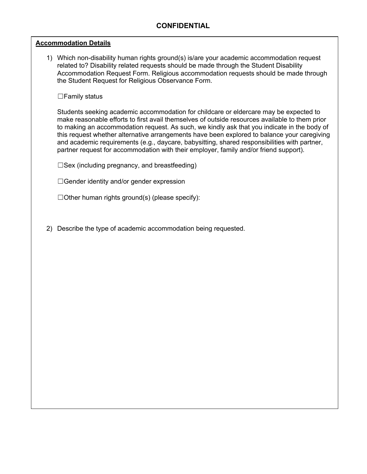#### **Accommodation Details**

1) Which non-disability human rights ground(s) is/are your academic accommodation request related to? Disability related requests should be made through the Student Disability Accommodation Request Form. Religious accommodation requests should be made through the Student Request for Religious Observance Form.

☐Family status

Students seeking academic accommodation for childcare or eldercare may be expected to make reasonable efforts to first avail themselves of outside resources available to them prior to making an accommodation request. As such, we kindly ask that you indicate in the body of this request whether alternative arrangements have been explored to balance your caregiving and academic requirements (e.g., daycare, babysitting, shared responsibilities with partner, partner request for accommodation with their employer, family and/or friend support).

 $\square$ Sex (including pregnancy, and breastfeeding)

 $\Box$ Gender identity and/or gender expression

 $\Box$ Other human rights ground(s) (please specify):

2) Describe the type of academic accommodation being requested.